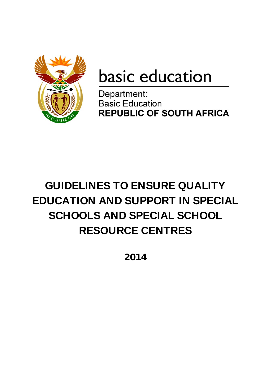

# basic education

Department: **Basic Education REPUBLIC OF SOUTH AFRICA** 

## GUIDELINES TO ENSURE QUALITY EDUCATION AND SUPPORT IN SPECIAL SCHOOLS AND SPECIAL SCHOOL RESOURCE CENTRES

**2014**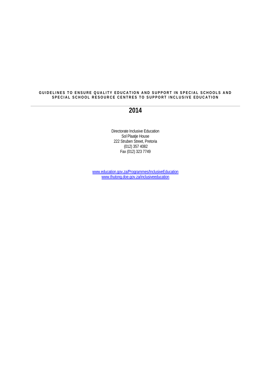#### GUIDELINES TO ENSURE QUALITY EDUCATION AND SUPPORT IN SPECIAL SCHOOLS AND **SPECIAL SCHOOL RESOURCE CENTRES TO SUPPORT INCLUSIVE EDUCATION**

#### **2014**

Directorate Inclusive Education Sol Plaatje House 222 Struben Street, Pretoria (012) 357 4082 Fax (012) 323 7749

www.education.gov.za/Programmes/InclusiveEducation www.thutong.doe.gov.za/inclusiveeducation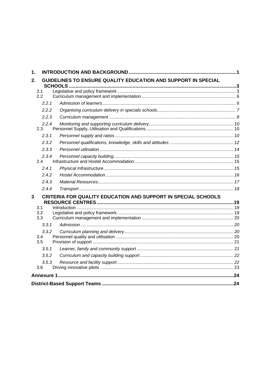| $\mathbf 1$ . |                                                               |                                                               |  |  |  |  |  |  |
|---------------|---------------------------------------------------------------|---------------------------------------------------------------|--|--|--|--|--|--|
| $2_{-}$       | GUIDELINES TO ENSURE QUALITY EDUCATION AND SUPPORT IN SPECIAL |                                                               |  |  |  |  |  |  |
|               | 2.1                                                           |                                                               |  |  |  |  |  |  |
|               | 2.2                                                           |                                                               |  |  |  |  |  |  |
|               | 2.2.1                                                         |                                                               |  |  |  |  |  |  |
|               | 2.2.2                                                         |                                                               |  |  |  |  |  |  |
|               | 2.2.3                                                         |                                                               |  |  |  |  |  |  |
|               | 2.2.4<br>2.3.                                                 |                                                               |  |  |  |  |  |  |
|               | 2.3.1                                                         |                                                               |  |  |  |  |  |  |
|               | 2.3.2                                                         |                                                               |  |  |  |  |  |  |
|               | 2.3.3                                                         |                                                               |  |  |  |  |  |  |
|               | 2.3.4<br>2.4                                                  |                                                               |  |  |  |  |  |  |
|               | 2.4.1                                                         |                                                               |  |  |  |  |  |  |
|               | 2.4.2                                                         |                                                               |  |  |  |  |  |  |
|               | 2.4.3                                                         |                                                               |  |  |  |  |  |  |
|               | 2.4.4                                                         |                                                               |  |  |  |  |  |  |
| 3             |                                                               | CRITERIA FOR QUALITY EDUCATION AND SUPPORT IN SPECIAL SCHOOLS |  |  |  |  |  |  |
|               | 3.1                                                           |                                                               |  |  |  |  |  |  |
|               | 3.2                                                           |                                                               |  |  |  |  |  |  |
|               | 3.3                                                           |                                                               |  |  |  |  |  |  |
|               | 3.3.1                                                         |                                                               |  |  |  |  |  |  |
|               | 3.3.2<br>3.4<br>3.5                                           |                                                               |  |  |  |  |  |  |
|               | 3.5.1                                                         |                                                               |  |  |  |  |  |  |
|               | 3.5.2                                                         |                                                               |  |  |  |  |  |  |
|               | 3.5.3                                                         |                                                               |  |  |  |  |  |  |
|               | 3.6                                                           |                                                               |  |  |  |  |  |  |
|               |                                                               |                                                               |  |  |  |  |  |  |
|               |                                                               |                                                               |  |  |  |  |  |  |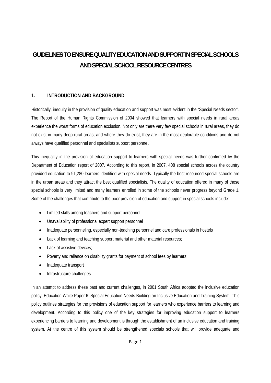### **GUIDELINES TO ENSURE QUALITY EDUCATION AND SUPPORT IN SPECIAL SCHOOLS AND SPECIAL SCHOOL RESOURCE CENTRES**

#### **1. INTRODUCTION AND BACKGROUND**

Historically, inequity in the provision of quality education and support was most evident in the "Special Needs sector". The Report of the Human Rights Commission of 2004 showed that learners with special needs in rural areas experience the worst forms of education exclusion. Not only are there very few special schools in rural areas, they do not exist in many deep rural areas, and where they do exist, they are in the most deplorable conditions and do not always have qualified personnel and specialists support personnel.

This inequality in the provision of education support to learners with special needs was further confirmed by the Department of Education report of 2007. According to this report, in 2007, 408 special schools across the country provided education to 91,280 learners identified with special needs. Typically the best resourced special schools are in the urban areas and they attract the best qualified specialists. The quality of education offered in many of these special schools is very limited and many learners enrolled in some of the schools never progress beyond Grade 1. Some of the challenges that contribute to the poor provision of education and support in special schools include:

- Limited skills among teachers and support personnel
- Unavailability of professional expert support personnel
- Inadequate personneling, especially non-teaching personnel and care professionals in hostels
- Lack of learning and teaching support material and other material resources:
- Lack of assistive devices;
- Poverty and reliance on disability grants for payment of school fees by learners;
- Inadequate transport
- Infrastructure challenges

In an attempt to address these past and current challenges, in 2001 South Africa adopted the inclusive education policy: Education White Paper 6: Special Education Needs Building an Inclusive Education and Training System. This policy outlines strategies for the provisions of education support for learners who experience barriers to learning and development. According to this policy one of the key strategies for improving education support to learners experiencing barriers to learning and development is through the establishment of an inclusive education and training system. At the centre of this system should be strengthened specials schools that will provide adequate and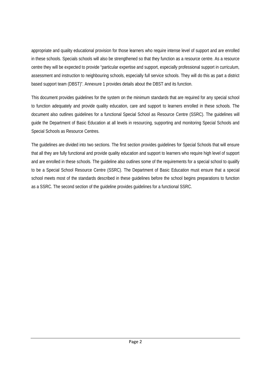appropriate and quality educational provision for those learners who require intense level of support and are enrolled in these schools. Specials schools will also be strengthened so that they function as a resource centre. As a resource centre they will be expected to provide "particular expertise and support, especially professional support in curriculum, assessment and instruction to neighbouring schools, especially full service schools. They will do this as part a district based support team (DBST)". Annexure 1 provides details about the DBST and its function.

This document provides guidelines for the system on the minimum standards that are required for any special school to function adequately and provide quality education, care and support to learners enrolled in these schools. The document also outlines guidelines for a functional Special School as Resource Centre (SSRC). The guidelines will guide the Department of Basic Education at all levels in resourcing, supporting and monitoring Special Schools and Special Schools as Resource Centres.

The guidelines are divided into two sections. The first section provides guidelines for Special Schools that will ensure that all they are fully functional and provide quality education and support to learners who require high level of support and are enrolled in these schools. The guideline also outlines some of the requirements for a special school to qualify to be a Special School Resource Centre (SSRC). The Department of Basic Education must ensure that a special school meets most of the standards described in these guidelines before the school begins preparations to function as a SSRC. The second section of the guideline provides guidelines for a functional SSRC.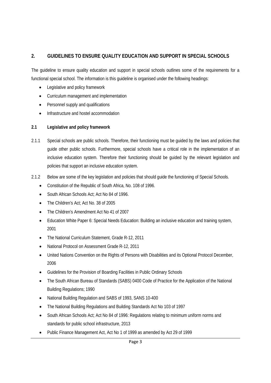#### **2. GUIDELINES TO ENSURE QUALITY EDUCATION AND SUPPORT IN SPECIAL SCHOOLS**

The guideline to ensure quality education and support in special schools outlines some of the requirements for a functional special school. The information is this guideline is organised under the following headings:

- Legislative and policy framework
- Curriculum management and implementation
- Personnel supply and qualifications
- Infrastructure and hostel accommodation

#### **2.1 Legislative and policy framework**

- 2.1.1 Special schools are public schools. Therefore, their functioning must be guided by the laws and policies that guide other public schools. Furthermore, special schools have a critical role in the implementation of an inclusive education system. Therefore their functioning should be guided by the relevant legislation and policies that support an inclusive education system.
- 2.1.2 Below are some of the key legislation and policies that should guide the functioning of Special Schools.
	- Constitution of the Republic of South Africa, No. 108 of 1996.
	- South African Schools Act; Act No 84 of 1996.
	- The Children's Act; Act No. 38 of 2005
	- The Children's Amendment Act No 41 of 2007
	- Education White Paper 6: Special Needs Education: Building an inclusive education and training system, 2001
	- The National Curriculum Statement, Grade R-12, 2011
	- National Protocol on Assessment Grade R-12, 2011
	- United Nations Convention on the Rights of Persons with Disabilities and its Optional Protocol December, 2006
	- Guidelines for the Provision of Boarding Facilities in Public Ordinary Schools
	- The South African Bureau of Standards (SABS) 0400 Code of Practice for the Application of the National Building Regulations; 1990
	- National Building Regulation and SABS of 1993, SANS 10-400
	- The National Building Regulations and Building Standards Act No 103 of 1997
	- South African Schools Act; Act No 84 of 1996: Regulations relating to minimum uniform norms and standards for public school infrastructure, 2013
	- Public Finance Management Act, Act No 1 of 1999 as amended by Act 29 of 1999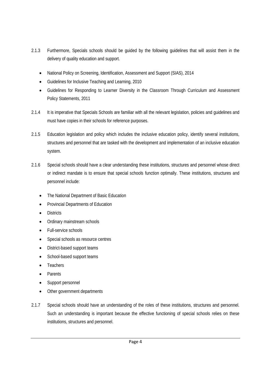- 2.1.3 Furthermore, Specials schools should be guided by the following guidelines that will assist them in the delivery of quality education and support.
	- National Policy on Screening, Identification, Assessment and Support (SIAS), 2014
	- Guidelines for Inclusive Teaching and Learning, 2010
	- Guidelines for Responding to Learner Diversity in the Classroom Through Curriculum and Assessment Policy Statements, 2011
- 2.1.4 It is imperative that Specials Schools are familiar with all the relevant legislation, policies and guidelines and must have copies in their schools for reference purposes.
- 2.1.5 Education legislation and policy which includes the inclusive education policy, identify several institutions, structures and personnel that are tasked with the development and implementation of an inclusive education system.
- 2.1.6 Special schools should have a clear understanding these institutions, structures and personnel whose direct or indirect mandate is to ensure that special schools function optimally. These institutions, structures and personnel include:
	- The National Department of Basic Education
	- Provincial Departments of Education
	- Districts
	- Ordinary mainstream schools
	- Full-service schools
	- Special schools as resource centres
	- District-based support teams
	- School-based support teams
	- Teachers
	- Parents
	- Support personnel
	- Other government departments
- 2.1.7 Special schools should have an understanding of the roles of these institutions, structures and personnel. Such an understanding is important because the effective functioning of special schools relies on these institutions, structures and personnel.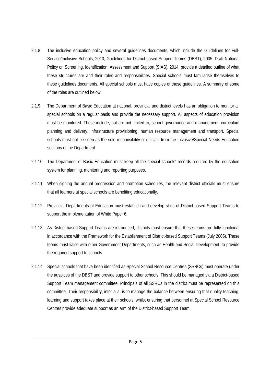- 2.1.8 The inclusive education policy and several guidelines documents, which include the Guidelines for Full-Service/Inclusive Schools, 2010, Guidelines for District-based Support Teams (DBST), 2005, Draft National Policy on Screening, Identification, Assessment and Support (SIAS), 2014, provide a detailed outline of what these structures are and their roles and responsibilities. Special schools must familiarise themselves to these guidelines documents. All special schools must have copies of these guidelines. A summary of some of the roles are outlined below.
- 2.1.9 The Department of Basic Education at national, provincial and district levels has an obligation to monitor all special schools on a regular basis and provide the necessary support. All aspects of education provision must be monitored. These include, but are not limited to, school governance and management, curriculum planning and delivery, infrastructure provisioning, human resource management and transport. Special schools must not be seen as the sole responsibility of officials from the Inclusive/Special Needs Education sections of the Department.
- 2.1.10 The Department of Basic Education must keep all the special schools' records required by the education system for planning, monitoring and reporting purposes.
- 2.1.11 When signing the annual progression and promotion schedules, the relevant district officials must ensure that all learners at special schools are benefiting educationally.
- 2.1.12 Provincial Departments of Education must establish and develop skills of District-based Support Teams to support the implementation of White Paper 6.
- 2.1.13 As District-based Support Teams are introduced, districts must ensure that these teams are fully functional in accordance with the Framework for the Establishment of District-based Support Teams (July 2005). These teams must liaise with other Government Departments, such as Health and Social Development, to provide the required support to schools.
- 2.1.14 Special schools that have been identified as Special School Resource Centres (SSRCs) must operate under the auspices of the DBST and provide support to other schools. This should be managed via a District-based Support Team management committee. Principals of all SSRCs in the district must be represented on this committee. Their responsibility, inter alia, is to manage the balance between ensuring that quality teaching, learning and support takes place at their schools, whilst ensuring that personnel at Special School Resource Centres provide adequate support as an arm of the District-based Support Team.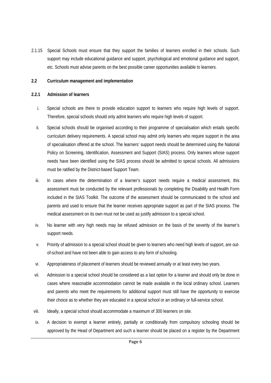2.1.15 Special Schools must ensure that they support the families of learners enrolled in their schools. Such support may include educational guidance and support, psychological and emotional guidance and support, etc. Schools must advise parents on the best possible career opportunities available to learners.

#### **2.2 Curriculum management and implementation**

#### **2.2.1 Admission of learners**

- i. Special schools are there to provide education support to learners who require high levels of support. Therefore, special schools should only admit learners who require high levels of support.
- ii. Special schools should be organised according to their programme of specialisation which entails specific curriculum delivery requirements. A special school may admit only learners who require support in the area of specialisation offered at the school. The learners' support needs should be determined using the National Policy on Screening, Identification, Assessment and Support (SIAS) process. Only learners whose support needs have been identified using the SIAS process should be admitted to special schools. All admissions must be ratified by the District-based Support Team.
- iii. In cases where the determination of a learner's support needs require a medical assessment, this assessment must be conducted by the relevant professionals by completing the Disability and Health Form included in the SIAS Toolkit. The outcome of the assessment should be communicated to the school and parents and used to ensure that the learner receives appropriate support as part of the SIAS process. The medical assessment on its own must not be used as justify admission to a special school.
- iv. No learner with very high needs may be refused admission on the basis of the severity of the learner's support needs.
- v. Priority of admission to a special school should be given to learners who need high levels of support, are outof-school and have not been able to gain access to any form of schooling.
- vi. Appropriateness of placement of learners should be reviewed annually or at least every two years.
- vii. Admission to a special school should be considered as a last option for a learner and should only be done in cases where reasonable accommodation cannot be made available in the local ordinary school. Learners and parents who meet the requirements for additional support must still have the opportunity to exercise their choice as to whether they are educated in a special school or an ordinary or full-service school.
- viii. Ideally, a special school should accommodate a maximum of 300 learners on site.
- ix. A decision to exempt a learner entirely, partially or conditionally from compulsory schooling should be approved by the Head of Department and such a learner should be placed on a register by the Department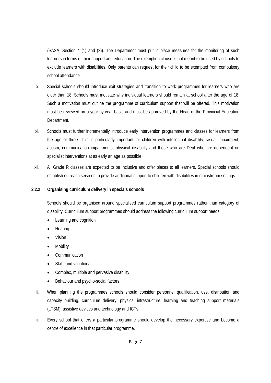(SASA, Section 4 (1) and (2)). The Department must put in place measures for the monitoring of such learners in terms of their support and education. The exemption clause is not meant to be used by schools to exclude learners with disabilities. Only parents can request for their child to be exempted from compulsory school attendance.

- x. Special schools should introduce exit strategies and transition to work programmes for learners who are older than 18. Schools must motivate why individual learners should remain at school after the age of 18. Such a motivation must outline the programme of curriculum support that will be offered. This motivation must be reviewed on a year-by-year basis and must be approved by the Head of the Provincial Education Department.
- xi. Schools must further incrementally introduce early intervention programmes and classes for learners from the age of three. This is particularly important for children with intellectual disability, visual impairment, autism, communication impairments, physical disability and those who are Deaf who are dependent on specialist interventions at as early an age as possible.
- xii. All Grade R classes are expected to be inclusive and offer places to all learners. Special schools should establish outreach services to provide additional support to children with disabilities in mainstream settings.

#### **2.2.2 Organising curriculum delivery in specials schools**

- i. Schools should be organised around specialised curriculum support programmes rather than category of disability. Curriculum support programmes should address the following curriculum support needs:
	- Learning and cognition
	- Hearing
	- Vision
	- **Mobility**
	- Communication
	- Skills and vocational
	- Complex, multiple and pervasive disability
	- Behaviour and psycho-social factors
- ii. When planning the programmes schools should consider personnel qualification, use, distribution and capacity building, curriculum delivery, physical infrastructure, learning and teaching support materials (LTSM), assistive devices and technology and ICTs.
- iii. Every school that offers a particular programme should develop the necessary expertise and become a centre of excellence in that particular programme.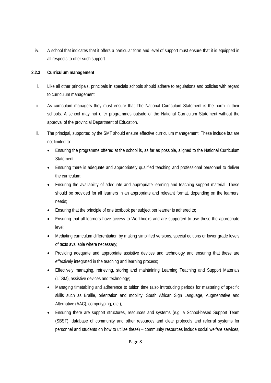iv. A school that indicates that it offers a particular form and level of support must ensure that it is equipped in all respects to offer such support.

#### **2.2.3 Curriculum management**

- i. Like all other principals, principals in specials schools should adhere to regulations and policies with regard to curriculum management.
- ii. As curriculum managers they must ensure that The National Curriculum Statement is the norm in their schools. A school may not offer programmes outside of the National Curriculum Statement without the approval of the provincial Department of Education.
- iii. The principal, supported by the SMT should ensure effective curriculum management. These include but are not limited to:
	- Ensuring the programme offered at the school is, as far as possible, aligned to the National Curriculum Statement;
	- Ensuring there is adequate and appropriately qualified teaching and professional personnel to deliver the curriculum;
	- Ensuring the availability of adequate and appropriate learning and teaching support material. These should be provided for all learners in an appropriate and relevant format, depending on the learners' needs;
	- Ensuring that the principle of one textbook per subject per learner is adhered to;
	- Ensuring that all learners have access to Workbooks and are supported to use these the appropriate level;
	- Mediating curriculum differentiation by making simplified versions, special editions or lower grade levels of texts available where necessary;
	- Providing adequate and appropriate assistive devices and technology and ensuring that these are effectively integrated in the teaching and learning process;
	- Effectively managing, retrieving, storing and maintaining Learning Teaching and Support Materials (LTSM), assistive devices and technology;
	- Managing timetabling and adherence to tuition time (also introducing periods for mastering of specific skills such as Braille, orientation and mobility, South African Sign Language, Augmentative and Alternative (AAC), computyping, etc.);
	- Ensuring there are support structures, resources and systems (e.g. a School-based Support Team (SBST), database of community and other resources and clear protocols and referral systems for personnel and students on how to utilise these) – community resources include social welfare services,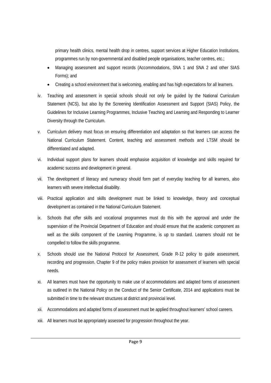primary health clinics, mental health drop in centres, support services at Higher Education Institutions, programmes run by non-governmental and disabled people organisations, teacher centres, etc.;

- Managing assessment and support records (Accommodations, SNA 1 and SNA 2 and other SIAS Forms); and
- Creating a school environment that is welcoming, enabling and has high expectations for all learners.
- iv. Teaching and assessment in special schools should not only be guided by the National Curriculum Statement (NCS), but also by the Screening Identification Assessment and Support (SIAS) Policy, the Guidelines for Inclusive Learning Programmes, Inclusive Teaching and Learning and Responding to Learner Diversity through the Curriculum.
- v. Curriculum delivery must focus on ensuring differentiation and adaptation so that learners can access the National Curriculum Statement. Content, teaching and assessment methods and LTSM should be differentiated and adapted.
- vi. Individual support plans for learners should emphasise acquisition of knowledge and skills required for academic success and development in general.
- vii. The development of literacy and numeracy should form part of everyday teaching for all learners, also learners with severe intellectual disability.
- viii. Practical application and skills development must be linked to knowledge, theory and conceptual development as contained in the National Curriculum Statement.
- ix. Schools that offer skills and vocational programmes must do this with the approval and under the supervision of the Provincial Department of Education and should ensure that the academic component as well as the skills component of the Learning Programme, is up to standard. Learners should not be compelled to follow the skills programme.
- x. Schools should use the National Protocol for Assessment, Grade R-12 policy to guide assessment, recording and progression. Chapter 9 of the policy makes provision for assessment of learners with special needs.
- xi. All learners must have the opportunity to make use of accommodations and adapted forms of assessment as outlined in the National Policy on the Conduct of the Senior Certificate, 2014 and applications must be submitted in time to the relevant structures at district and provincial level.
- xii. Accommodations and adapted forms of assessment must be applied throughout learners' school careers.
- xiii. All learners must be appropriately assessed for progression throughout the year.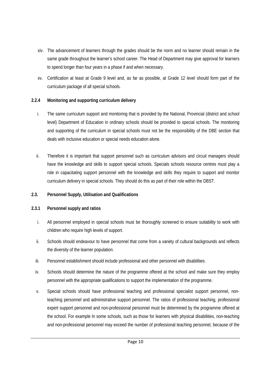- xiv. The advancement of learners through the grades should be the norm and no learner should remain in the same grade throughout the learner's school career. The Head of Department may give approval for learners to spend longer than four years in a phase if and when necessary.
- xv. Certification at least at Grade 9 level and, as far as possible, at Grade 12 level should form part of the curriculum package of all special schools.

#### **2.2.4 Monitoring and supporting curriculum delivery**

- i. The same curriculum support and monitoring that is provided by the National, Provincial (district and school level) Department of Education in ordinary schools should be provided to special schools. The monitoring and supporting of the curriculum in special schools must not be the responsibility of the DBE section that deals with inclusive education or special needs education alone.
- ii. Therefore it is important that support personnel such as curriculum advisors and circuit managers should have the knowledge and skills to support special schools. Specials schools resource centres must play a role in capacitating support personnel with the knowledge and skills they require to support and monitor curriculum delivery in special schools. They should do this as part of their role within the DBST.

#### **2.3. Personnel Supply, Utilisation and Qualifications**

#### **2.3.1 Personnel supply and ratios**

- i. All personnel employed in special schools must be thoroughly screened to ensure suitability to work with children who require high levels of support.
- ii. Schools should endeavour to have personnel that come from a variety of cultural backgrounds and reflects the diversity of the learner population.
- iii. Personnel establishment should include professional and other personnel with disabilities.
- iv. Schools should determine the nature of the programme offered at the school and make sure they employ personnel with the appropriate qualifications to support the implementation of the programme.
- v. Special schools should have professional teaching and professional specialist support personnel, nonteaching personnel and administrative support personnel. The ratios of professional teaching, professional expert support personnel and non-professional personnel must be determined by the programme offered at the school. For example In some schools, such as those for learners with physical disabilities, non-teaching and non-professional personnel may exceed the number of professional teaching personnel, because of the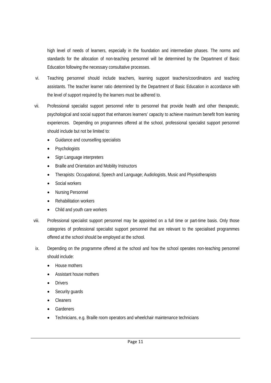high level of needs of learners, especially in the foundation and intermediate phases. The norms and standards for the allocation of non-teaching personnel will be determined by the Department of Basic Education following the necessary consultative processes.

- vi. Teaching personnel should include teachers, learning support teachers/coordinators and teaching assistants. The teacher learner ratio determined by the Department of Basic Education in accordance with the level of support required by the learners must be adhered to.
- vii. Professional specialist support personnel refer to personnel that provide health and other therapeutic, psychological and social support that enhances learners' capacity to achieve maximum benefit from learning experiences. Depending on programmes offered at the school, professional specialist support personnel should include but not be limited to:
	- Guidance and counselling specialists
	- Psychologists
	- Sign Language interpreters
	- Braille and Orientation and Mobility Instructors
	- Therapists: Occupational, Speech and Language; Audiologists, Music and Physiotherapists
	- Social workers
	- Nursing Personnel
	- Rehabilitation workers
	- Child and youth care workers
- viii. Professional specialist support personnel may be appointed on a full time or part-time basis. Only those categories of professional specialist support personnel that are relevant to the specialised programmes offered at the school should be employed at the school.
- ix. Depending on the programme offered at the school and how the school operates non-teaching personnel should include:
	- House mothers
	- Assistant house mothers
	- Drivers
	- Security guards
	- Cleaners
	- Gardeners
	- Technicians, e.g. Braille room operators and wheelchair maintenance technicians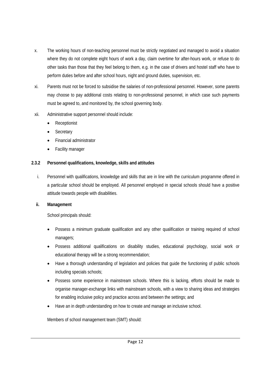- x. The working hours of non-teaching personnel must be strictly negotiated and managed to avoid a situation where they do not complete eight hours of work a day, claim overtime for after-hours work, or refuse to do other tasks than those that they feel belong to them, e.g. in the case of drivers and hostel staff who have to perform duties before and after school hours, night and ground duties, supervision, etc.
- xi. Parents must not be forced to subsidise the salaries of non-professional personnel. However, some parents may choose to pay additional costs relating to non-professional personnel, in which case such payments must be agreed to, and monitored by, the school governing body.
- xii. Administrative support personnel should include:
	- Receptionist
	- **Secretary**
	- Financial administrator
	- Facility manager

#### **2.3.2 Personnel qualifications, knowledge, skills and attitudes**

i. Personnel with qualifications, knowledge and skills that are in line with the curriculum programme offered in a particular school should be employed. All personnel employed in special schools should have a positive attitude towards people with disabilities.

#### **ii. Management**

School principals should:

- Possess a minimum graduate qualification and any other qualification or training required of school managers;
- Possess additional qualifications on disability studies, educational psychology, social work or educational therapy will be a strong recommendation;
- Have a thorough understanding of legislation and policies that guide the functioning of public schools including specials schools;
- Possess some experience in mainstream schools. Where this is lacking, efforts should be made to organise manager-exchange links with mainstream schools, with a view to sharing ideas and strategies for enabling inclusive policy and practice across and between the settings; and
- Have an in depth understanding on how to create and manage an inclusive school.

Members of school management team (SMT) should: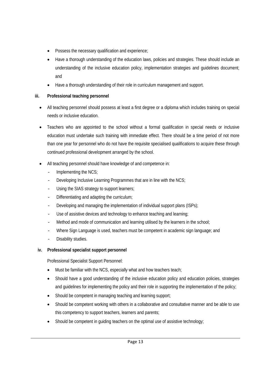- Possess the necessary qualification and experience;
- Have a thorough understanding of the education laws, policies and strategies. These should include an understanding of the inclusive education policy, implementation strategies and guidelines document; and
- Have a thorough understanding of their role in curriculum management and support.

#### **iii. Professional teaching personnel**

- All teaching personnel should possess at least a first degree or a diploma which includes training on special needs or inclusive education.
- Teachers who are appointed to the school without a formal qualification in special needs or inclusive education must undertake such training with immediate effect. There should be a time period of not more than one year for personnel who do not have the requisite specialised qualifications to acquire these through continued professional development arranged by the school.
- All teaching personnel should have knowledge of and competence in:
	- Implementing the NCS;
	- Developing Inclusive Learning Programmes that are in line with the NCS;
	- Using the SIAS strategy to support learners;
	- Differentiating and adapting the curriculum;
	- Developing and managing the implementation of individual support plans (ISPs);
	- Use of assistive devices and technology to enhance teaching and learning;
	- Method and mode of communication and learning utilised by the learners in the school;
	- Where Sign Language is used, teachers must be competent in academic sign language; and
	- Disability studies.

#### **iv. Professional specialist support personnel**

Professional Specialist Support Personnel:

- Must be familiar with the NCS, especially what and how teachers teach;
- Should have a good understanding of the inclusive education policy and education policies, strategies and guidelines for implementing the policy and their role in supporting the implementation of the policy;
- Should be competent in managing teaching and learning support;
- Should be competent working with others in a collaborative and consultative manner and be able to use this competency to support teachers, learners and parents;
- Should be competent in quiding teachers on the optimal use of assistive technology;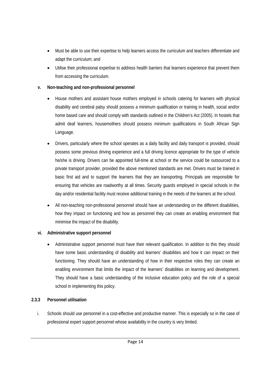- Must be able to use their expertise to help learners access the curriculum and teachers differentiate and adapt the curriculum; and
- Utilise their professional expertise to address health barriers that learners experience that prevent them from accessing the curriculum.

#### **v. Non-teaching and non-professional personnel**

- House mothers and assistant house mothers employed in schools catering for learners with physical disability and cerebral palsy should possess a minimum qualification or training in health, social and/or home based care and should comply with standards outlined in the Children's Act (2005). In hostels that admit deaf learners, housemothers should possess minimum qualifications in South African Sign Language.
- Drivers, particularly where the school operates as a daily facility and daily transport is provided, should possess some previous driving experience and a full driving licence appropriate for the type of vehicle he/she is driving. Drivers can be appointed full-time at school or the service could be outsourced to a private transport provider, provided the above mentioned standards are met. Drivers must be trained in basic first aid and to support the learners that they are transporting. Principals are responsible for ensuring that vehicles are roadworthy at all times. Security guards employed in special schools in the day and/or residential facility must receive additional training in the needs of the learners at the school.
- All non-teaching non-professional personnel should have an understanding on the different disabilities, how they impact on functioning and how as personnel they can create an enabling environment that minimise the impact of the disability.

#### **vi. Administrative support personnel**

 Administrative support personnel must have their relevant qualification. In addition to this they should have some basic understanding of disability and learners' disabilities and how it can impact on their functioning. They should have an understanding of how in their respective roles they can create an enabling environment that limits the impact of the learners' disabilities on learning and development. They should have a basic understanding of the inclusive education policy and the role of a special school in implementing this policy.

#### **2.3.3 Personnel utilisation**

i. Schools should use personnel in a cost-effective and productive manner. This is especially so in the case of professional expert support personnel whose availability in the country is very limited.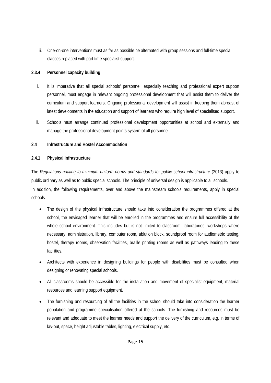ii. One-on-one interventions must as far as possible be alternated with group sessions and full-time special classes replaced with part time specialist support.

#### **2.3.4 Personnel capacity building**

- i. It is imperative that all special schools' personnel, especially teaching and professional expert support personnel, must engage in relevant ongoing professional development that will assist them to deliver the curriculum and support learners. Ongoing professional development will assist in keeping them abreast of latest developments in the education and support of learners who require high level of specialised support.
- ii. Schools must arrange continued professional development opportunities at school and externally and manage the professional development points system of all personnel.

#### **2.4 Infrastructure and Hostel Accommodation**

#### **2.4.1 Physical Infrastructure**

The *Regulations relating to minimum uniform norms and standards for public school infrastructure* (2013) apply to public ordinary as well as to public special schools. The principle of universal design is applicable to all schools. In addition, the following requirements, over and above the mainstream schools requirements, apply in special schools.

- The design of the physical infrastructure should take into consideration the programmes offered at the school, the envisaged learner that will be enrolled in the programmes and ensure full accessibility of the whole school environment. This includes but is not limited to classroom, laboratories, workshops where necessary, administration, library, computer room, ablution block, soundproof room for audiometric testing, hostel, therapy rooms, observation facilities, braille printing rooms as well as pathways leading to these facilities.
- Architects with experience in designing buildings for people with disabilities must be consulted when designing or renovating special schools.
- All classrooms should be accessible for the installation and movement of specialist equipment, material resources and learning support equipment.
- The furnishing and resourcing of all the facilities in the school should take into consideration the learner population and programme specialisation offered at the schools. The furnishing and resources must be relevant and adequate to meet the learner needs and support the delivery of the curriculum, e.g. in terms of lay-out, space, height adjustable tables, lighting, electrical supply, etc.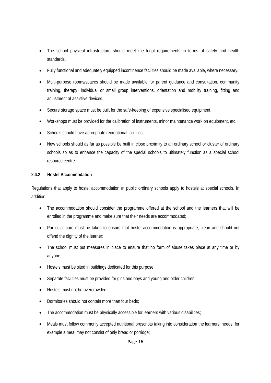- The school physical infrastructure should meet the legal requirements in terms of safety and health standards.
- Fully functional and adequately equipped incontinence facilities should be made available, where necessary.
- Multi-purpose rooms/spaces should be made available for parent guidance and consultation, community training, therapy, individual or small group interventions, orientation and mobility training, fitting and adjustment of assistive devices.
- Secure storage space must be built for the safe-keeping of expensive specialised equipment.
- Workshops must be provided for the calibration of instruments, minor maintenance work on equipment, etc.
- Schools should have appropriate recreational facilities.
- New schools should as far as possible be built in close proximity to an ordinary school or cluster of ordinary schools so as to enhance the capacity of the special schools to ultimately function as a special school resource centre.

#### **2.4.2 Hostel Accommodation**

Regulations that apply to hostel accommodation at public ordinary schools apply to hostels at special schools. In addition:

- The accommodation should consider the programme offered at the school and the learners that will be enrolled in the programme and make sure that their needs are accommodated;
- Particular care must be taken to ensure that hostel accommodation is appropriate, clean and should not offend the dignity of the learner;
- The school must put measures in place to ensure that no form of abuse takes place at any time or by anyone;
- Hostels must be sited in buildings dedicated for this purpose;
- Separate facilities must be provided for girls and boys and young and older children;
- Hostels must not be overcrowded:
- Dormitories should not contain more than four beds;
- The accommodation must be physically accessible for learners with various disabilities;
- Meals must follow commonly accepted nutritional prescripts taking into consideration the learners' needs, for example a meal may not consist of only bread or porridge;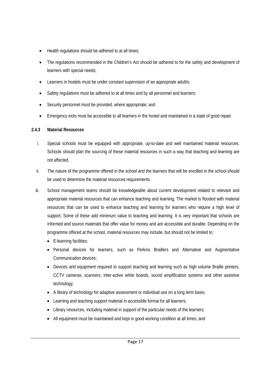- Health regulations should be adhered to at all times;
- The regulations recommended in the Children's Act should be adhered to for the safety and development of learners with special needs;
- Learners in hostels must be under constant supervision of an appropriate adult/s;
- Safety regulations must be adhered to at all times and by all personnel and learners;
- Security personnel must be provided, where appropriate; and
- Emergency exits must be accessible to all learners in the hostel and maintained in a state of good repair.

#### **2.4.3 Material Resources**

- i. Special schools must be equipped with appropriate, up-to-date and well maintained material resources. Schools should plan the sourcing of these material resources in such a way that teaching and learning are not affected.
- ii. The nature of the programme offered in the school and the learners that will be enrolled in the school should be used to determine the material resources requirements.
- iii. School management teams should be knowledgeable about current development related to relevant and appropriate material resources that can enhance teaching and learning. The market is flooded with material resources that can be used to enhance teaching and learning for learners who require a high level of support. Some of these add minimum value to teaching and learning. It is very important that schools are informed and source materials that offer value for money and are accessible and durable. Depending on the programme offered at the school, material resources may include, but should not be limited to:
	- E-learning facilities;
	- Personal devices for learners, such as Perkins Braillers and Alternative and Augmentative Communication devices;
	- Devices and equipment required to support teaching and learning such as high volume Braille printers, CCTV cameras, scanners, inter-active white boards, sound amplification systems and other assistive technology;
	- A library of technology for adaptive assessment or individual use on a long term basis;
	- Learning and teaching support material in accessible format for all learners;
	- Library resources, including material in support of the particular needs of the learners;
	- All equipment must be maintained and kept in good working condition at all times; and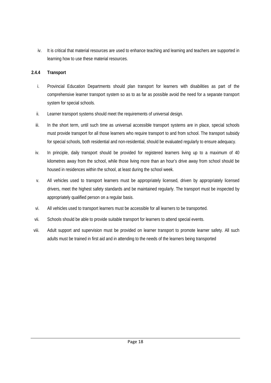iv. It is critical that material resources are used to enhance teaching and learning and teachers are supported in learning how to use these material resources.

#### **2.4.4 Transport**

- i. Provincial Education Departments should plan transport for learners with disabilities as part of the comprehensive learner transport system so as to as far as possible avoid the need for a separate transport system for special schools.
- ii. Learner transport systems should meet the requirements of universal design.
- iii. In the short term, until such time as universal accessible transport systems are in place, special schools must provide transport for all those learners who require transport to and from school. The transport subsidy for special schools, both residential and non-residential, should be evaluated regularly to ensure adequacy.
- iv. In principle, daily transport should be provided for registered learners living up to a maximum of 40 kilometres away from the school, while those living more than an hour's drive away from school should be housed in residences within the school, at least during the school week.
- v. All vehicles used to transport learners must be appropriately licensed, driven by appropriately licensed drivers, meet the highest safety standards and be maintained regularly. The transport must be inspected by appropriately qualified person on a regular basis.
- vi. All vehicles used to transport learners must be accessible for all learners to be transported.
- vii. Schools should be able to provide suitable transport for learners to attend special events.
- viii. Adult support and supervision must be provided on learner transport to promote learner safety. All such adults must be trained in first aid and in attending to the needs of the learners being transported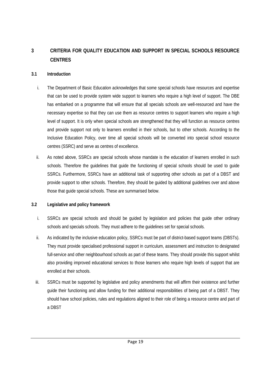#### **3 CRITERIA FOR QUALITY EDUCATION AND SUPPORT IN SPECIAL SCHOOLS RESOURCE CENTRES**

#### **3.1 Introduction**

- i. The Department of Basic Education acknowledges that some special schools have resources and expertise that can be used to provide system wide support to learners who require a high level of support. The DBE has embarked on a programme that will ensure that all specials schools are well-resourced and have the necessary expertise so that they can use them as resource centres to support learners who require a high level of support. It is only when special schools are strengthened that they will function as resource centres and provide support not only to learners enrolled in their schools, but to other schools. According to the Inclusive Education Policy, over time all special schools will be converted into special school resource centres (SSRC) and serve as centres of excellence.
- ii. As noted above, SSRCs are special schools whose mandate is the education of learners enrolled in such schools. Therefore the guidelines that guide the functioning of special schools should be used to guide SSRCs. Furthermore, SSRCs have an additional task of supporting other schools as part of a DBST and provide support to other schools. Therefore, they should be guided by additional guidelines over and above those that guide special schools. These are summarised below.

#### **3.2 Legislative and policy framework**

- i. SSRCs are special schools and should be guided by legislation and policies that guide other ordinary schools and specials schools. They must adhere to the guidelines set for special schools.
- ii. As indicated by the inclusive education policy, SSRCs must be part of district-based support teams (DBSTs). They must provide specialised professional support in curriculum, assessment and instruction to designated full-service and other neighbourhood schools as part of these teams. They should provide this support whilst also providing improved educational services to those learners who require high levels of support that are enrolled at their schools.
- iii. SSRCs must be supported by legislative and policy amendments that will affirm their existence and further guide their functioning and allow funding for their additional responsibilities of being part of a DBST. They should have school policies, rules and regulations aligned to their role of being a resource centre and part of a DBST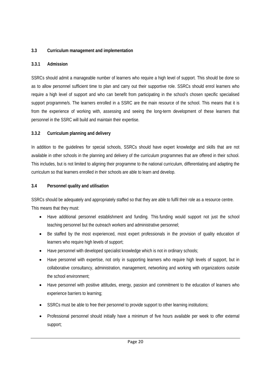#### **3.3 Curriculum management and implementation**

#### **3.3.1 Admission**

SSRCs should admit a manageable number of learners who require a high level of support. This should be done so as to allow personnel sufficient time to plan and carry out their supportive role. SSRCs should enrol learners who require a high level of support and who can benefit from participating in the school's chosen specific specialised support programme/s. The learners enrolled in a SSRC are the main resource of the school. This means that it is from the experience of working with, assessing and seeing the long-term development of these learners that personnel in the SSRC will build and maintain their expertise.

#### **3.3.2 Curriculum planning and delivery**

In addition to the guidelines for special schools, SSRCs should have expert knowledge and skills that are not available in other schools in the planning and delivery of the curriculum programmes that are offered in their school. This includes, but is not limited to aligning their programme to the national curriculum, differentiating and adapting the curriculum so that learners enrolled in their schools are able to learn and develop.

#### **3.4 Personnel quality and utilisation**

SSRCs should be adequately and appropriately staffed so that they are able to fulfil their role as a resource centre. This means that they must:

- Have additional personnel establishment and funding. This funding would support not just the school teaching personnel but the outreach workers and administrative personnel;
- Be staffed by the most experienced, most expert professionals in the provision of quality education of learners who require high levels of support;
- Have personnel with developed specialist knowledge which is not in ordinary schools;
- Have personnel with expertise, not only in supporting learners who require high levels of support, but in collaborative consultancy, administration, management, networking and working with organizations outside the school environment;
- Have personnel with positive attitudes, energy, passion and commitment to the education of learners who experience barriers to learning;
- SSRCs must be able to free their personnel to provide support to other learning institutions;
- Professional personnel should initially have a minimum of five hours available per week to offer external support;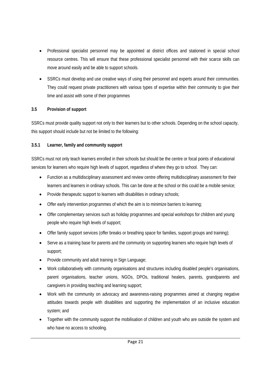- Professional specialist personnel may be appointed at district offices and stationed in special school resource centres. This will ensure that these professional specialist personnel with their scarce skills can move around easily and be able to support schools.
- SSRCs must develop and use creative ways of using their personnel and experts around their communities. They could request private practitioners with various types of expertise within their community to give their time and assist with some of their programmes

#### **3.5 Provision of support**

SSRCs must provide quality support not only to their learners but to other schools. Depending on the school capacity, this support should include but not be limited to the following:

#### **3.5.1 Learner, family and community support**

SSRCs must not only teach learners enrolled in their schools but should be the centre or focal points of educational services for learners who require high levels of support, regardless of where they go to school. They can:

- Function as a multidisciplinary assessment and review centre offering multidisciplinary assessment for their learners and learners in ordinary schools. This can be done at the school or this could be a mobile service;
- Provide therapeutic support to learners with disabilities in ordinary schools;
- Offer early intervention programmes of which the aim is to minimize barriers to learning;
- Offer complementary services such as holiday programmes and special workshops for children and young people who require high levels of support;
- Offer family support services (offer breaks or breathing space for families, support groups and training);
- Serve as a training base for parents and the community on supporting learners who require high levels of support;
- Provide community and adult training in Sign Language;
- Work collaboratively with community organisations and structures including disabled people's organisations, parent organisations, teacher unions, NGOs, DPOs, traditional healers, parents, grandparents and caregivers in providing teaching and learning support;
- Work with the community on advocacy and awareness-raising programmes aimed at changing negative attitudes towards people with disabilities and supporting the implementation of an inclusive education system; and
- Together with the community support the mobilisation of children and youth who are outside the system and who have no access to schooling.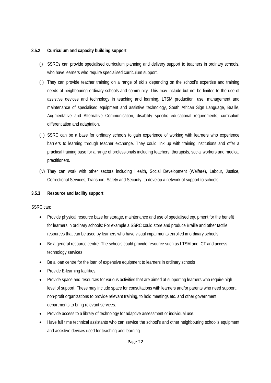#### **3.5.2 Curriculum and capacity building support**

- (i) SSRCs can provide specialised curriculum planning and delivery support to teachers in ordinary schools, who have learners who require specialised curriculum support.
- (ii) They can provide teacher training on a range of skills depending on the school's expertise and training needs of neighbouring ordinary schools and community. This may include but not be limited to the use of assistive devices and technology in teaching and learning, LTSM production, use, management and maintenance of specialised equipment and assistive technology, South African Sign Language, Braille, Augmentative and Alternative Communication, disability specific educational requirements, curriculum differentiation and adaptation.
- (iii) SSRC can be a base for ordinary schools to gain experience of working with learners who experience barriers to learning through teacher exchange. They could link up with training institutions and offer a practical training base for a range of professionals including teachers, therapists, social workers and medical practitioners.
- (iv) They can work with other sectors including Health, Social Development (Welfare), Labour, Justice, Correctional Services, Transport, Safety and Security, to develop a network of support to schools.

#### **3.5.3 Resource and facility support**

SSRC can:

- Provide physical resource base for storage, maintenance and use of specialised equipment for the benefit for learners in ordinary schools: For example a SSRC could store and produce Braille and other tactile resources that can be used by learners who have visual impairments enrolled in ordinary schools
- Be a general resource centre: The schools could provide resource such as LTSM and ICT and access technology services
- Be a loan centre for the loan of expensive equipment to learners in ordinary schools
- Provide E-learning facilities.
- Provide space and resources for various activities that are aimed at supporting learners who require high level of support. These may include space for consultations with learners and/or parents who need support, non-profit organizations to provide relevant training, to hold meetings etc. and other government departments to bring relevant services.
- Provide access to a library of technology for adaptive assessment or individual use.
- Have full time technical assistants who can service the school's and other neighbouring school's equipment and assistive devices used for teaching and learning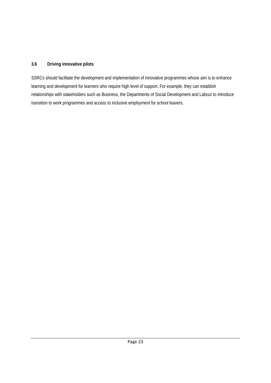#### **3.6 Driving innovative pilots**

SSRCs should facilitate the development and implementation of innovative programmes whose aim is to enhance learning and development for learners who require high level of support. For example, they can establish relationships with stakeholders such as Business, the Departments of Social Development and Labour to introduce transition to work programmes and access to inclusive employment for school leavers.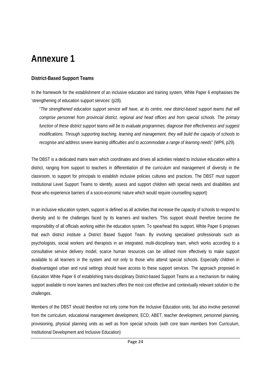## **Annexure 1**

#### **District-Based Support Teams**

In the framework for the establishment of an inclusive education and training system, White Paper 6 emphasises the 'strengthening of education support services' (p28).

"*The strengthened education support service will have, at its centre, new district-based support teams that will comprise personnel from provincial district, regional and head offices and from special schools. The primary function of these district support teams will be to evaluate programmes, diagnose their effectiveness and suggest modifications. Through supporting teaching, learning and management, they will build the capacity of schools to recognise and address severe learning difficulties and to accommodate a range of learning needs*" (WP6, p29).

The DBST is a dedicated matrix team which coordinates and drives all activities related to inclusive education within a district, ranging from support to teachers in differentiation of the curriculum and management of diversity in the classroom, to support for principals to establish inclusive policies cultures and practices. The DBST must support Institutional Level Support Teams to identify, assess and support children with special needs and disabilities and those who experience barriers of a socio-economic nature which would require counselling support)

In an inclusive education system, support is defined as all activities that increase the capacity of schools to respond to diversity and to the challenges faced by its learners and teachers. This support should therefore become the responsibility of all officials working within the education system. To spearhead this support, White Paper 6 proposes that each district institute a District Based Support Team. By involving specialised professionals such as psychologists, social workers and therapists in an integrated, multi-disciplinary team, which works according to a consultative service delivery model, scarce human resources can be utilised more effectively to make support available to all learners in the system and not only to those who attend special schools. Especially children in disadvantaged urban and rural settings should have access to these support services. The approach proposed in Education White Paper 6 of establishing trans-disciplinary District-based Support Teams as a mechanism for making support available to more learners and teachers offers the most cost effective and contextually relevant solution to the challenges.

Members of the DBST should therefore not only come from the Inclusive Education units, but also involve personnel from the curriculum, educational management development, ECD, ABET, teacher development, personnel planning, provisioning, physical planning units as well as from special schools (with core team members from Curriculum, Institutional Development and Inclusive Education)